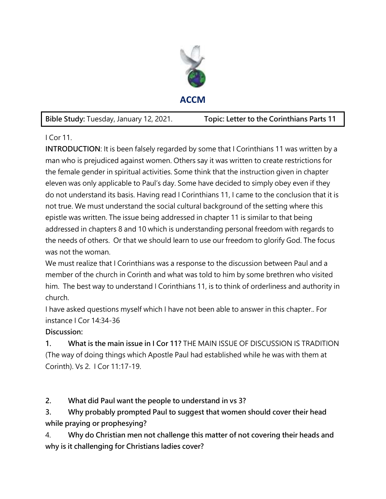

**Bible Study:** Tuesday, January 12, 2021. **Topic: Letter to the Corinthians Parts 11** 

I Cor 11.

**INTRODUCTION**: It is been falsely regarded by some that I Corinthians 11 was written by a man who is prejudiced against women. Others say it was written to create restrictions for the female gender in spiritual activities. Some think that the instruction given in chapter eleven was only applicable to Paul's day. Some have decided to simply obey even if they do not understand its basis. Having read I Corinthians 11, I came to the conclusion that it is not true. We must understand the social cultural background of the setting where this epistle was written. The issue being addressed in chapter 11 is similar to that being addressed in chapters 8 and 10 which is understanding personal freedom with regards to the needs of others. Or that we should learn to use our freedom to glorify God. The focus was not the woman.

We must realize that I Corinthians was a response to the discussion between Paul and a member of the church in Corinth and what was told to him by some brethren who visited him. The best way to understand I Corinthians 11, is to think of orderliness and authority in church.

I have asked questions myself which I have not been able to answer in this chapter.. For instance I Cor 14:34-36

**Discussion:** 

**1. What is the main issue in I Cor 11?** THE MAIN ISSUE OF DISCUSSION IS TRADITION (The way of doing things which Apostle Paul had established while he was with them at Corinth). Vs 2. I Cor 11:17-19.

**2. What did Paul want the people to understand in vs 3?** 

**3. Why probably prompted Paul to suggest that women should cover their head while praying or prophesying?** 

4. **Why do Christian men not challenge this matter of not covering their heads and why is it challenging for Christians ladies cover?**